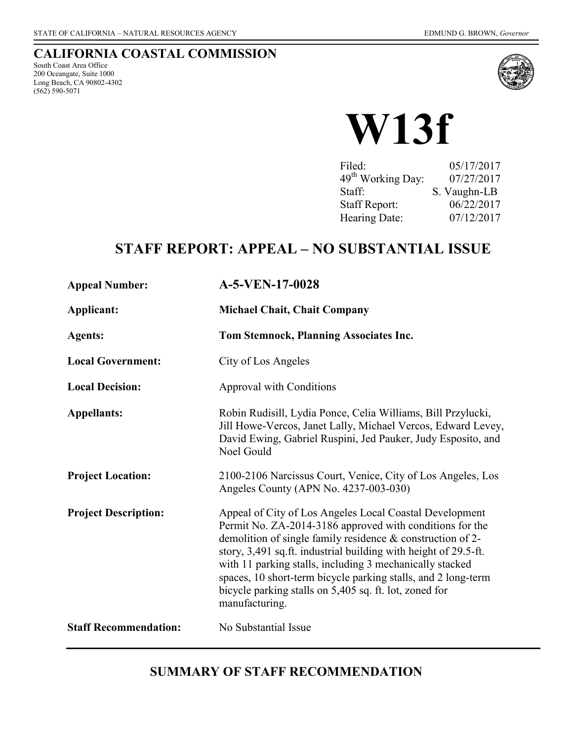#### **CALIFORNIA COASTAL COMMISSION**

South Coast Area Office 200 Oceangate, Suite 1000 Long Beach, CA 90802-4302 (562) 590-5071



**W13f**

| Filed:                        | 05/17/2017   |
|-------------------------------|--------------|
| 49 <sup>th</sup> Working Day: | 07/27/2017   |
| Staff:                        | S. Vaughn-LB |
| <b>Staff Report:</b>          | 06/22/2017   |
| Hearing Date:                 | 07/12/2017   |

# **STAFF REPORT: APPEAL – NO SUBSTANTIAL ISSUE**

| <b>Appeal Number:</b>        | A-5-VEN-17-0028                                                                                                                                                                                                                                                                                                                                                                                                                                                 |
|------------------------------|-----------------------------------------------------------------------------------------------------------------------------------------------------------------------------------------------------------------------------------------------------------------------------------------------------------------------------------------------------------------------------------------------------------------------------------------------------------------|
| Applicant:                   | <b>Michael Chait, Chait Company</b>                                                                                                                                                                                                                                                                                                                                                                                                                             |
| <b>Agents:</b>               | Tom Stemnock, Planning Associates Inc.                                                                                                                                                                                                                                                                                                                                                                                                                          |
| <b>Local Government:</b>     | City of Los Angeles                                                                                                                                                                                                                                                                                                                                                                                                                                             |
| <b>Local Decision:</b>       | Approval with Conditions                                                                                                                                                                                                                                                                                                                                                                                                                                        |
| <b>Appellants:</b>           | Robin Rudisill, Lydia Ponce, Celia Williams, Bill Przylucki,<br>Jill Howe-Vercos, Janet Lally, Michael Vercos, Edward Levey,<br>David Ewing, Gabriel Ruspini, Jed Pauker, Judy Esposito, and<br>Noel Gould                                                                                                                                                                                                                                                      |
| <b>Project Location:</b>     | 2100-2106 Narcissus Court, Venice, City of Los Angeles, Los<br>Angeles County (APN No. 4237-003-030)                                                                                                                                                                                                                                                                                                                                                            |
| <b>Project Description:</b>  | Appeal of City of Los Angeles Local Coastal Development<br>Permit No. ZA-2014-3186 approved with conditions for the<br>demolition of single family residence $&$ construction of 2-<br>story, 3,491 sq.ft. industrial building with height of 29.5-ft.<br>with 11 parking stalls, including 3 mechanically stacked<br>spaces, 10 short-term bicycle parking stalls, and 2 long-term<br>bicycle parking stalls on 5,405 sq. ft. lot, zoned for<br>manufacturing. |
| <b>Staff Recommendation:</b> | No Substantial Issue                                                                                                                                                                                                                                                                                                                                                                                                                                            |

# **SUMMARY OF STAFF RECOMMENDATION**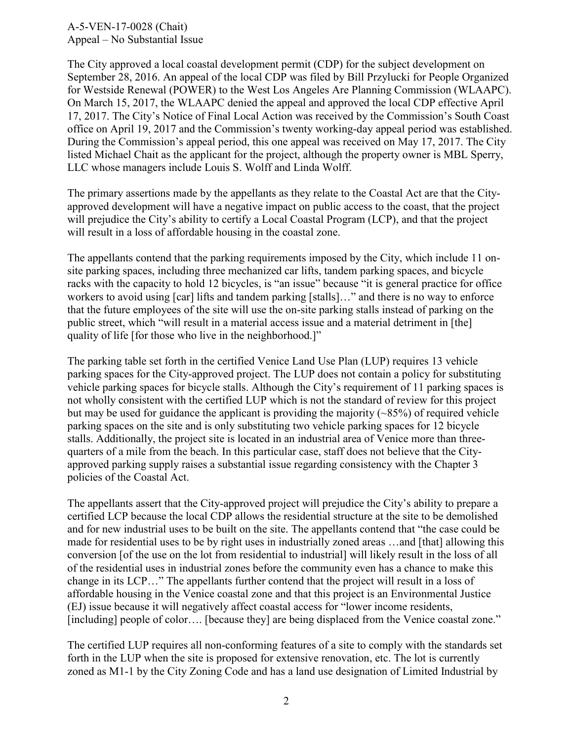The City approved a local coastal development permit (CDP) for the subject development on September 28, 2016. An appeal of the local CDP was filed by Bill Przylucki for People Organized for Westside Renewal (POWER) to the West Los Angeles Are Planning Commission (WLAAPC). On March 15, 2017, the WLAAPC denied the appeal and approved the local CDP effective April 17, 2017. The City's Notice of Final Local Action was received by the Commission's South Coast office on April 19, 2017 and the Commission's twenty working-day appeal period was established. During the Commission's appeal period, this one appeal was received on May 17, 2017. The City listed Michael Chait as the applicant for the project, although the property owner is MBL Sperry, LLC whose managers include Louis S. Wolff and Linda Wolff.

The primary assertions made by the appellants as they relate to the Coastal Act are that the Cityapproved development will have a negative impact on public access to the coast, that the project will prejudice the City's ability to certify a Local Coastal Program (LCP), and that the project will result in a loss of affordable housing in the coastal zone.

The appellants contend that the parking requirements imposed by the City, which include 11 onsite parking spaces, including three mechanized car lifts, tandem parking spaces, and bicycle racks with the capacity to hold 12 bicycles, is "an issue" because "it is general practice for office workers to avoid using [car] lifts and tandem parking [stalls]..." and there is no way to enforce that the future employees of the site will use the on-site parking stalls instead of parking on the public street, which "will result in a material access issue and a material detriment in [the] quality of life [for those who live in the neighborhood.]"

The parking table set forth in the certified Venice Land Use Plan (LUP) requires 13 vehicle parking spaces for the City-approved project. The LUP does not contain a policy for substituting vehicle parking spaces for bicycle stalls. Although the City's requirement of 11 parking spaces is not wholly consistent with the certified LUP which is not the standard of review for this project but may be used for guidance the applicant is providing the majority  $(\sim 85\%)$  of required vehicle parking spaces on the site and is only substituting two vehicle parking spaces for 12 bicycle stalls. Additionally, the project site is located in an industrial area of Venice more than threequarters of a mile from the beach. In this particular case, staff does not believe that the Cityapproved parking supply raises a substantial issue regarding consistency with the Chapter 3 policies of the Coastal Act.

The appellants assert that the City-approved project will prejudice the City's ability to prepare a certified LCP because the local CDP allows the residential structure at the site to be demolished and for new industrial uses to be built on the site. The appellants contend that "the case could be made for residential uses to be by right uses in industrially zoned areas …and [that] allowing this conversion [of the use on the lot from residential to industrial] will likely result in the loss of all of the residential uses in industrial zones before the community even has a chance to make this change in its LCP…" The appellants further contend that the project will result in a loss of affordable housing in the Venice coastal zone and that this project is an Environmental Justice (EJ) issue because it will negatively affect coastal access for "lower income residents, [including] people of color.... [because they] are being displaced from the Venice coastal zone."

The certified LUP requires all non-conforming features of a site to comply with the standards set forth in the LUP when the site is proposed for extensive renovation, etc. The lot is currently zoned as M1-1 by the City Zoning Code and has a land use designation of Limited Industrial by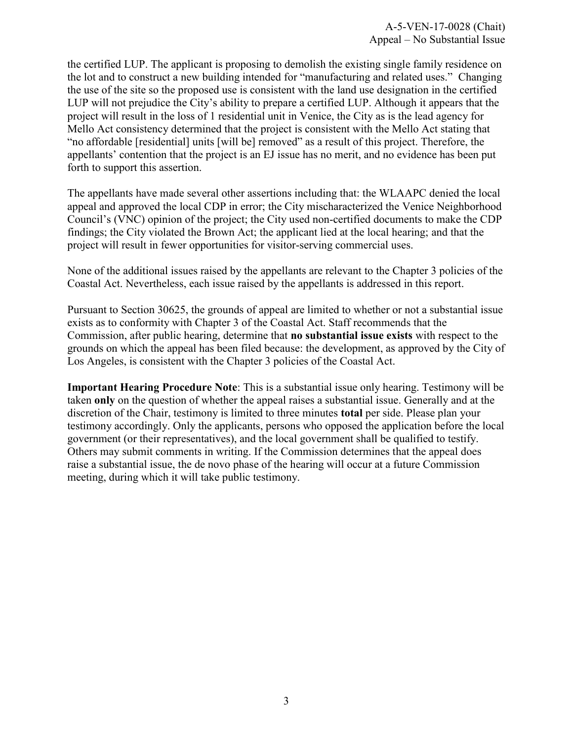the certified LUP. The applicant is proposing to demolish the existing single family residence on the lot and to construct a new building intended for "manufacturing and related uses." Changing the use of the site so the proposed use is consistent with the land use designation in the certified LUP will not prejudice the City's ability to prepare a certified LUP. Although it appears that the project will result in the loss of 1 residential unit in Venice, the City as is the lead agency for Mello Act consistency determined that the project is consistent with the Mello Act stating that "no affordable [residential] units [will be] removed" as a result of this project. Therefore, the appellants' contention that the project is an EJ issue has no merit, and no evidence has been put forth to support this assertion.

The appellants have made several other assertions including that: the WLAAPC denied the local appeal and approved the local CDP in error; the City mischaracterized the Venice Neighborhood Council's (VNC) opinion of the project; the City used non-certified documents to make the CDP findings; the City violated the Brown Act; the applicant lied at the local hearing; and that the project will result in fewer opportunities for visitor-serving commercial uses.

None of the additional issues raised by the appellants are relevant to the Chapter 3 policies of the Coastal Act. Nevertheless, each issue raised by the appellants is addressed in this report.

Pursuant to Section 30625, the grounds of appeal are limited to whether or not a substantial issue exists as to conformity with Chapter 3 of the Coastal Act. Staff recommends that the Commission, after public hearing, determine that **no substantial issue exists** with respect to the grounds on which the appeal has been filed because: the development, as approved by the City of Los Angeles, is consistent with the Chapter 3 policies of the Coastal Act.

**Important Hearing Procedure Note**: This is a substantial issue only hearing. Testimony will be taken **only** on the question of whether the appeal raises a substantial issue. Generally and at the discretion of the Chair, testimony is limited to three minutes **total** per side. Please plan your testimony accordingly. Only the applicants, persons who opposed the application before the local government (or their representatives), and the local government shall be qualified to testify. Others may submit comments in writing. If the Commission determines that the appeal does raise a substantial issue, the de novo phase of the hearing will occur at a future Commission meeting, during which it will take public testimony.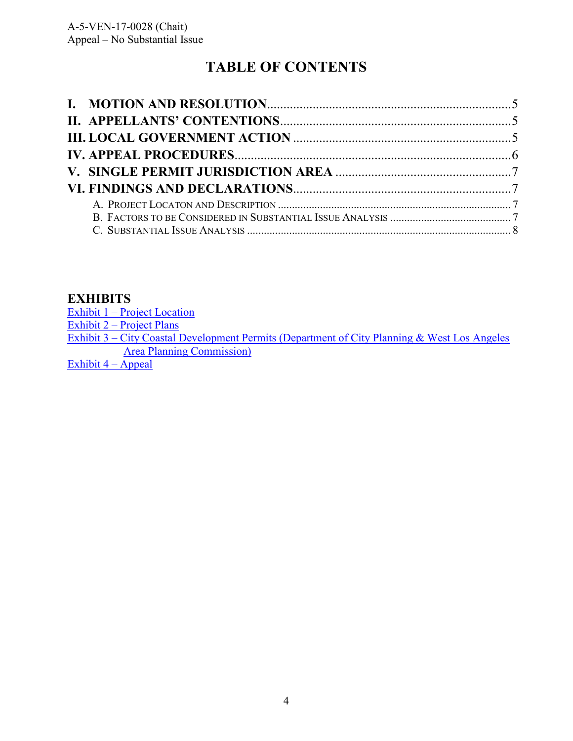# **TABLE OF CONTENTS**

## **EXHIBITS**

| Exhibit $1 -$ Project Location                                                               |  |
|----------------------------------------------------------------------------------------------|--|
| Exhibit $2$ – Project Plans                                                                  |  |
| Exhibit 3 – City Coastal Development Permits (Department of City Planning & West Los Angeles |  |
| A see $\mathbf{D1}$ , set see $\mathbf{C}$ , see the set of $\mathbf{C}$                     |  |

[Area Planning Commission\)](https://documents.coastal.ca.gov/reports/2017/7/W13f/W13f-7-2017-exhibits.pdf) 

[Exhibit 4 –](https://documents.coastal.ca.gov/reports/2017/7/W13f/W13f-7-2017-exhibits.pdf) Appeal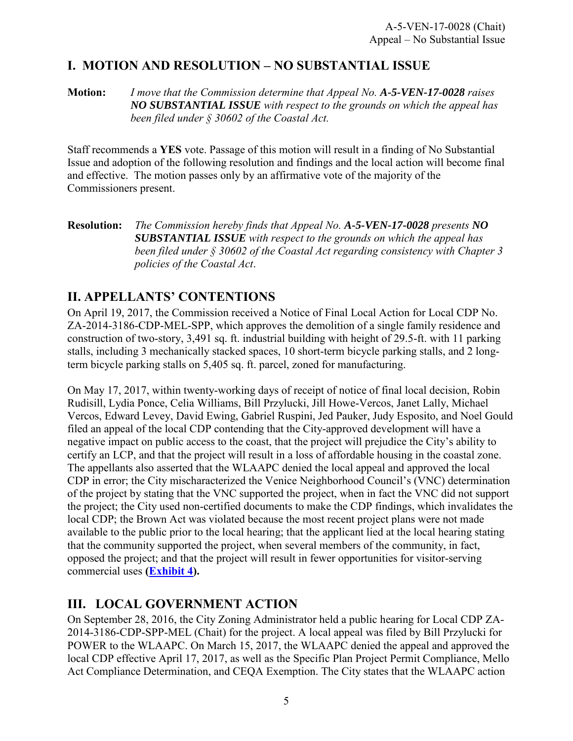# <span id="page-4-0"></span>**I. MOTION AND RESOLUTION – NO SUBSTANTIAL ISSUE**

**Motion:** *I move that the Commission determine that Appeal No. A-5-VEN-17-0028 raises NO SUBSTANTIAL ISSUE with respect to the grounds on which the appeal has been filed under § 30602 of the Coastal Act.*

Staff recommends a **YES** vote. Passage of this motion will result in a finding of No Substantial Issue and adoption of the following resolution and findings and the local action will become final and effective. The motion passes only by an affirmative vote of the majority of the Commissioners present.

**Resolution:** *The Commission hereby finds that Appeal No. A-5-VEN-17-0028 presents NO SUBSTANTIAL ISSUE with respect to the grounds on which the appeal has been filed under § 30602 of the Coastal Act regarding consistency with Chapter 3 policies of the Coastal Act*.

#### **II. APPELLANTS' CONTENTIONS**

On April 19, 2017, the Commission received a Notice of Final Local Action for Local CDP No. ZA-2014-3186-CDP-MEL-SPP, which approves the demolition of a single family residence and construction of two-story, 3,491 sq. ft. industrial building with height of 29.5-ft. with 11 parking stalls, including 3 mechanically stacked spaces, 10 short-term bicycle parking stalls, and 2 longterm bicycle parking stalls on 5,405 sq. ft. parcel, zoned for manufacturing.

On May 17, 2017, within twenty-working days of receipt of notice of final local decision, Robin Rudisill, Lydia Ponce, Celia Williams, Bill Przylucki, Jill Howe-Vercos, Janet Lally, Michael Vercos, Edward Levey, David Ewing, Gabriel Ruspini, Jed Pauker, Judy Esposito, and Noel Gould filed an appeal of the local CDP contending that the City-approved development will have a negative impact on public access to the coast, that the project will prejudice the City's ability to certify an LCP, and that the project will result in a loss of affordable housing in the coastal zone. The appellants also asserted that the WLAAPC denied the local appeal and approved the local CDP in error; the City mischaracterized the Venice Neighborhood Council's (VNC) determination of the project by stating that the VNC supported the project, when in fact the VNC did not support the project; the City used non-certified documents to make the CDP findings, which invalidates the local CDP; the Brown Act was violated because the most recent project plans were not made available to the public prior to the local hearing; that the applicant lied at the local hearing stating that the community supported the project, when several members of the community, in fact, opposed the project; and that the project will result in fewer opportunities for visitor-serving commercial uses **[\(Exhibit 4\)](https://documents.coastal.ca.gov/reports/2017/7/W13f/W13f-7-2017-exhibits.pdf).** 

# **III. LOCAL GOVERNMENT ACTION**

On September 28, 2016, the City Zoning Administrator held a public hearing for Local CDP ZA-2014-3186-CDP-SPP-MEL (Chait) for the project. A local appeal was filed by Bill Przylucki for POWER to the WLAAPC. On March 15, 2017, the WLAAPC denied the appeal and approved the local CDP effective April 17, 2017, as well as the Specific Plan Project Permit Compliance, Mello Act Compliance Determination, and CEQA Exemption. The City states that the WLAAPC action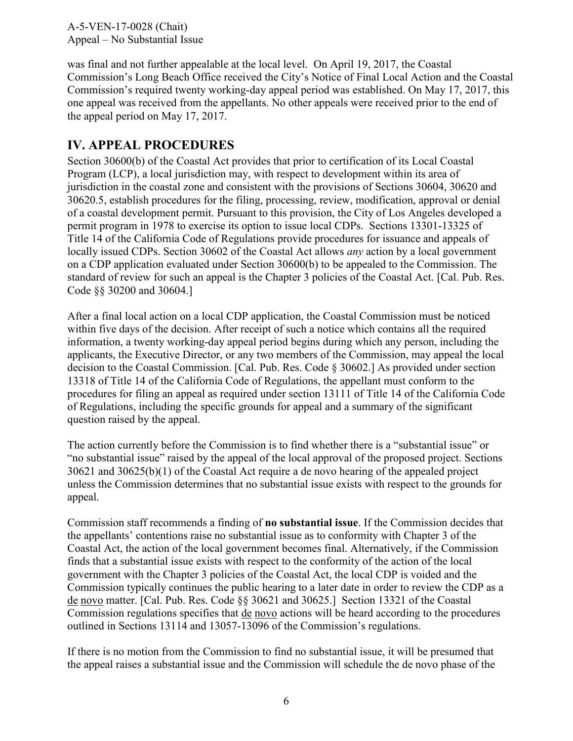<span id="page-5-0"></span>was final and not further appealable at the local level. On April 19, 2017, the Coastal Commission's Long Beach Office received the City's Notice of Final Local Action and the Coastal Commission's required twenty working-day appeal period was established. On May 17, 2017, this one appeal was received from the appellants. No other appeals were received prior to the end of the appeal period on May 17, 2017.

### **IV. APPEAL PROCEDURES**

Section 30600(b) of the Coastal Act provides that prior to certification of its Local Coastal Program (LCP), a local jurisdiction may, with respect to development within its area of jurisdiction in the coastal zone and consistent with the provisions of Sections 30604, 30620 and 30620.5, establish procedures for the filing, processing, review, modification, approval or denial of a coastal development permit. Pursuant to this provision, the City of Los Angeles developed a permit program in 1978 to exercise its option to issue local CDPs. Sections 13301-13325 of Title 14 of the California Code of Regulations provide procedures for issuance and appeals of locally issued CDPs. Section 30602 of the Coastal Act allows *any* action by a local government on a CDP application evaluated under Section 30600(b) to be appealed to the Commission. The standard of review for such an appeal is the Chapter 3 policies of the Coastal Act. [Cal. Pub. Res. Code §§ 30200 and 30604.]

After a final local action on a local CDP application, the Coastal Commission must be noticed within five days of the decision. After receipt of such a notice which contains all the required information, a twenty working-day appeal period begins during which any person, including the applicants, the Executive Director, or any two members of the Commission, may appeal the local decision to the Coastal Commission. [Cal. Pub. Res. Code § 30602.] As provided under section 13318 of Title 14 of the California Code of Regulations, the appellant must conform to the procedures for filing an appeal as required under section 13111 of Title 14 of the California Code of Regulations, including the specific grounds for appeal and a summary of the significant question raised by the appeal.

The action currently before the Commission is to find whether there is a "substantial issue" or "no substantial issue" raised by the appeal of the local approval of the proposed project. Sections 30621 and 30625(b)(1) of the Coastal Act require a de novo hearing of the appealed project unless the Commission determines that no substantial issue exists with respect to the grounds for appeal.

Commission staff recommends a finding of **no substantial issue**. If the Commission decides that the appellants' contentions raise no substantial issue as to conformity with Chapter 3 of the Coastal Act, the action of the local government becomes final. Alternatively, if the Commission finds that a substantial issue exists with respect to the conformity of the action of the local government with the Chapter 3 policies of the Coastal Act, the local CDP is voided and the Commission typically continues the public hearing to a later date in order to review the CDP as a de novo matter. [Cal. Pub. Res. Code §§ 30621 and 30625.] Section 13321 of the Coastal Commission regulations specifies that de novo actions will be heard according to the procedures outlined in Sections 13114 and 13057-13096 of the Commission's regulations.

If there is no motion from the Commission to find no substantial issue, it will be presumed that the appeal raises a substantial issue and the Commission will schedule the de novo phase of the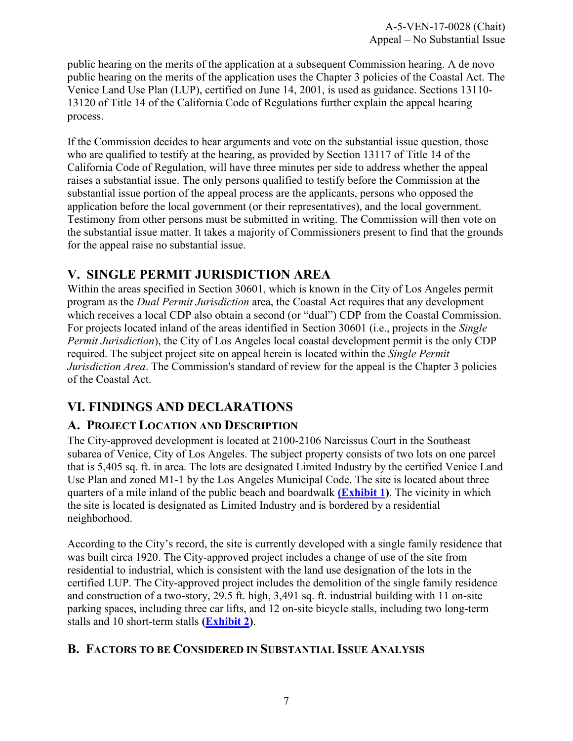<span id="page-6-0"></span>public hearing on the merits of the application at a subsequent Commission hearing. A de novo public hearing on the merits of the application uses the Chapter 3 policies of the Coastal Act. The Venice Land Use Plan (LUP), certified on June 14, 2001, is used as guidance. Sections 13110- 13120 of Title 14 of the California Code of Regulations further explain the appeal hearing process.

If the Commission decides to hear arguments and vote on the substantial issue question, those who are qualified to testify at the hearing, as provided by Section 13117 of Title 14 of the California Code of Regulation, will have three minutes per side to address whether the appeal raises a substantial issue. The only persons qualified to testify before the Commission at the substantial issue portion of the appeal process are the applicants, persons who opposed the application before the local government (or their representatives), and the local government. Testimony from other persons must be submitted in writing. The Commission will then vote on the substantial issue matter. It takes a majority of Commissioners present to find that the grounds for the appeal raise no substantial issue.

# **V. SINGLE PERMIT JURISDICTION AREA**

Within the areas specified in Section 30601, which is known in the City of Los Angeles permit program as the *Dual Permit Jurisdiction* area, the Coastal Act requires that any development which receives a local CDP also obtain a second (or "dual") CDP from the Coastal Commission. For projects located inland of the areas identified in Section 30601 (i.e., projects in the *Single Permit Jurisdiction*), the City of Los Angeles local coastal development permit is the only CDP required. The subject project site on appeal herein is located within the *Single Permit Jurisdiction Area*. The Commission's standard of review for the appeal is the Chapter 3 policies of the Coastal Act.

# **VI. FINDINGS AND DECLARATIONS**

#### **A. PROJECT LOCATION AND DESCRIPTION**

The City-approved development is located at 2100-2106 Narcissus Court in the Southeast subarea of Venice, City of Los Angeles. The subject property consists of two lots on one parcel that is 5,405 sq. ft. in area. The lots are designated Limited Industry by the certified Venice Land Use Plan and zoned M1-1 by the Los Angeles Municipal Code. The site is located about three quarters of a mile inland of the public beach and boardwalk **[\(Exhibit 1\)](https://documents.coastal.ca.gov/reports/2017/7/W13f/W13f-7-2017-exhibits.pdf)**. The vicinity in which the site is located is designated as Limited Industry and is bordered by a residential neighborhood.

According to the City's record, the site is currently developed with a single family residence that was built circa 1920. The City-approved project includes a change of use of the site from residential to industrial, which is consistent with the land use designation of the lots in the certified LUP. The City-approved project includes the demolition of the single family residence and construction of a two-story, 29.5 ft. high, 3,491 sq. ft. industrial building with 11 on-site parking spaces, including three car lifts, and 12 on-site bicycle stalls, including two long-term stalls and 10 short-term stalls **[\(Exhibit 2\)](https://documents.coastal.ca.gov/reports/2017/7/W13f/W13f-7-2017-exhibits.pdf)**.

#### **B. FACTORS TO BE CONSIDERED IN SUBSTANTIAL ISSUE ANALYSIS**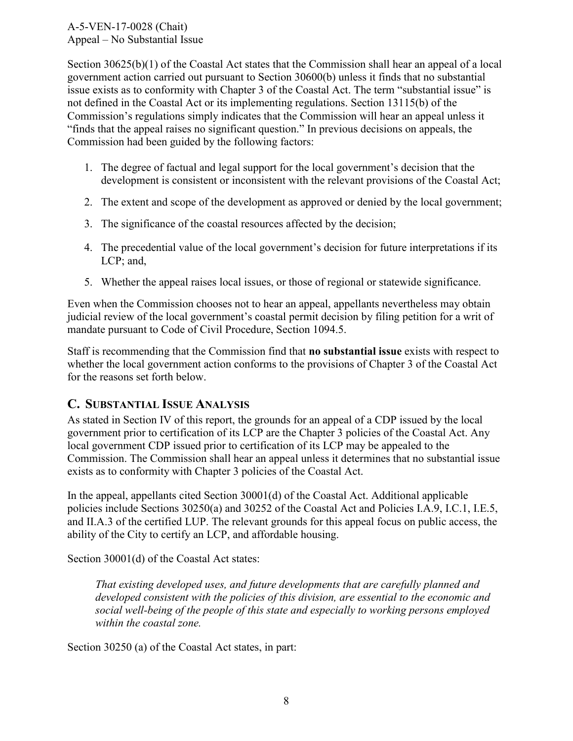<span id="page-7-0"></span>Section 30625(b)(1) of the Coastal Act states that the Commission shall hear an appeal of a local government action carried out pursuant to Section 30600(b) unless it finds that no substantial issue exists as to conformity with Chapter 3 of the Coastal Act. The term "substantial issue" is not defined in the Coastal Act or its implementing regulations. Section 13115(b) of the Commission's regulations simply indicates that the Commission will hear an appeal unless it "finds that the appeal raises no significant question." In previous decisions on appeals, the Commission had been guided by the following factors:

- 1. The degree of factual and legal support for the local government's decision that the development is consistent or inconsistent with the relevant provisions of the Coastal Act;
- 2. The extent and scope of the development as approved or denied by the local government;
- 3. The significance of the coastal resources affected by the decision;
- 4. The precedential value of the local government's decision for future interpretations if its LCP; and,
- 5. Whether the appeal raises local issues, or those of regional or statewide significance.

Even when the Commission chooses not to hear an appeal, appellants nevertheless may obtain judicial review of the local government's coastal permit decision by filing petition for a writ of mandate pursuant to Code of Civil Procedure, Section 1094.5.

Staff is recommending that the Commission find that **no substantial issue** exists with respect to whether the local government action conforms to the provisions of Chapter 3 of the Coastal Act for the reasons set forth below.

#### **C. SUBSTANTIAL ISSUE ANALYSIS**

As stated in Section IV of this report, the grounds for an appeal of a CDP issued by the local government prior to certification of its LCP are the Chapter 3 policies of the Coastal Act. Any local government CDP issued prior to certification of its LCP may be appealed to the Commission. The Commission shall hear an appeal unless it determines that no substantial issue exists as to conformity with Chapter 3 policies of the Coastal Act.

In the appeal, appellants cited Section 30001(d) of the Coastal Act. Additional applicable policies include Sections 30250(a) and 30252 of the Coastal Act and Policies I.A.9, I.C.1, I.E.5, and II.A.3 of the certified LUP. The relevant grounds for this appeal focus on public access, the ability of the City to certify an LCP, and affordable housing.

Section 30001(d) of the Coastal Act states:

*That existing developed uses, and future developments that are carefully planned and developed consistent with the policies of this division, are essential to the economic and social well-being of the people of this state and especially to working persons employed within the coastal zone.* 

Section 30250 (a) of the Coastal Act states, in part: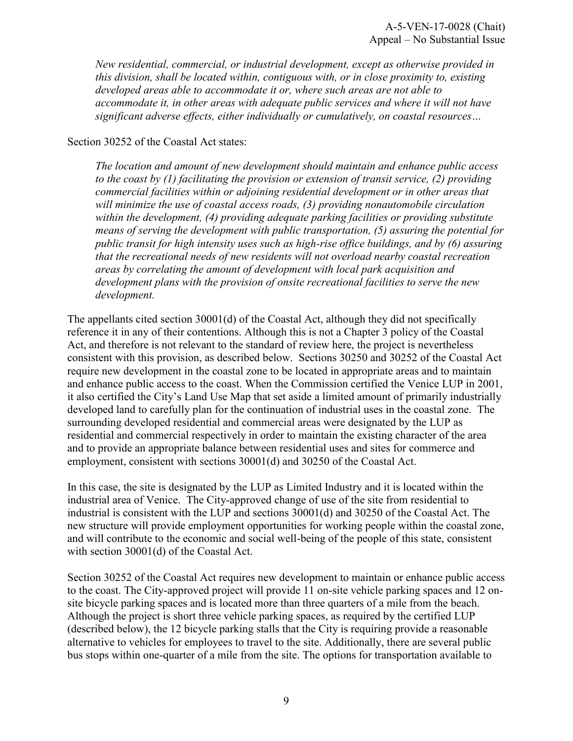*New residential, commercial, or industrial development, except as otherwise provided in this division, shall be located within, contiguous with, or in close proximity to, existing developed areas able to accommodate it or, where such areas are not able to accommodate it, in other areas with adequate public services and where it will not have significant adverse effects, either individually or cumulatively, on coastal resources…*

Section 30252 of the Coastal Act states:

*The location and amount of new development should maintain and enhance public access to the coast by (1) facilitating the provision or extension of transit service, (2) providing commercial facilities within or adjoining residential development or in other areas that will minimize the use of coastal access roads, (3) providing nonautomobile circulation within the development, (4) providing adequate parking facilities or providing substitute means of serving the development with public transportation, (5) assuring the potential for public transit for high intensity uses such as high-rise office buildings, and by (6) assuring that the recreational needs of new residents will not overload nearby coastal recreation areas by correlating the amount of development with local park acquisition and development plans with the provision of onsite recreational facilities to serve the new development.* 

The appellants cited section 30001(d) of the Coastal Act, although they did not specifically reference it in any of their contentions. Although this is not a Chapter 3 policy of the Coastal Act, and therefore is not relevant to the standard of review here, the project is nevertheless consistent with this provision, as described below. Sections 30250 and 30252 of the Coastal Act require new development in the coastal zone to be located in appropriate areas and to maintain and enhance public access to the coast. When the Commission certified the Venice LUP in 2001, it also certified the City's Land Use Map that set aside a limited amount of primarily industrially developed land to carefully plan for the continuation of industrial uses in the coastal zone. The surrounding developed residential and commercial areas were designated by the LUP as residential and commercial respectively in order to maintain the existing character of the area and to provide an appropriate balance between residential uses and sites for commerce and employment, consistent with sections 30001(d) and 30250 of the Coastal Act.

In this case, the site is designated by the LUP as Limited Industry and it is located within the industrial area of Venice. The City-approved change of use of the site from residential to industrial is consistent with the LUP and sections 30001(d) and 30250 of the Coastal Act. The new structure will provide employment opportunities for working people within the coastal zone, and will contribute to the economic and social well-being of the people of this state, consistent with section 30001(d) of the Coastal Act.

Section 30252 of the Coastal Act requires new development to maintain or enhance public access to the coast. The City-approved project will provide 11 on-site vehicle parking spaces and 12 onsite bicycle parking spaces and is located more than three quarters of a mile from the beach. Although the project is short three vehicle parking spaces, as required by the certified LUP (described below), the 12 bicycle parking stalls that the City is requiring provide a reasonable alternative to vehicles for employees to travel to the site. Additionally, there are several public bus stops within one-quarter of a mile from the site. The options for transportation available to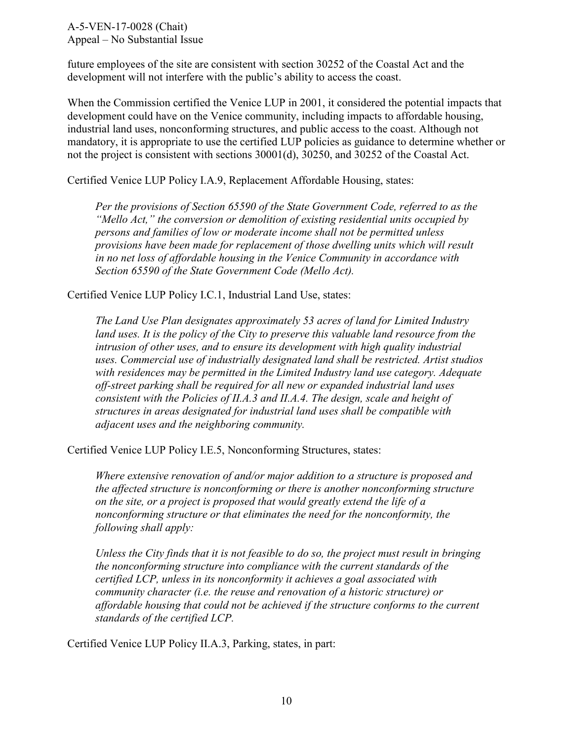future employees of the site are consistent with section 30252 of the Coastal Act and the development will not interfere with the public's ability to access the coast.

When the Commission certified the Venice LUP in 2001, it considered the potential impacts that development could have on the Venice community, including impacts to affordable housing, industrial land uses, nonconforming structures, and public access to the coast. Although not mandatory, it is appropriate to use the certified LUP policies as guidance to determine whether or not the project is consistent with sections 30001(d), 30250, and 30252 of the Coastal Act.

Certified Venice LUP Policy I.A.9, Replacement Affordable Housing, states:

*Per the provisions of Section 65590 of the State Government Code, referred to as the "Mello Act," the conversion or demolition of existing residential units occupied by persons and families of low or moderate income shall not be permitted unless provisions have been made for replacement of those dwelling units which will result in no net loss of affordable housing in the Venice Community in accordance with Section 65590 of the State Government Code (Mello Act).* 

Certified Venice LUP Policy I.C.1, Industrial Land Use, states:

*The Land Use Plan designates approximately 53 acres of land for Limited Industry*  land uses. It is the policy of the City to preserve this valuable land resource from the intrusion of other uses, and to ensure its development with high quality industrial *uses. Commercial use of industrially designated land shall be restricted. Artist studios with residences may be permitted in the Limited Industry land use category. Adequate off-street parking shall be required for all new or expanded industrial land uses consistent with the Policies of II.A.3 and II.A.4. The design, scale and height of structures in areas designated for industrial land uses shall be compatible with adjacent uses and the neighboring community.* 

Certified Venice LUP Policy I.E.5, Nonconforming Structures, states:

*Where extensive renovation of and/or major addition to a structure is proposed and the affected structure is nonconforming or there is another nonconforming structure on the site, or a project is proposed that would greatly extend the life of a nonconforming structure or that eliminates the need for the nonconformity, the following shall apply:* 

*Unless the City finds that it is not feasible to do so, the project must result in bringing the nonconforming structure into compliance with the current standards of the certified LCP, unless in its nonconformity it achieves a goal associated with community character (i.e. the reuse and renovation of a historic structure) or affordable housing that could not be achieved if the structure conforms to the current standards of the certified LCP.* 

Certified Venice LUP Policy II.A.3, Parking, states, in part: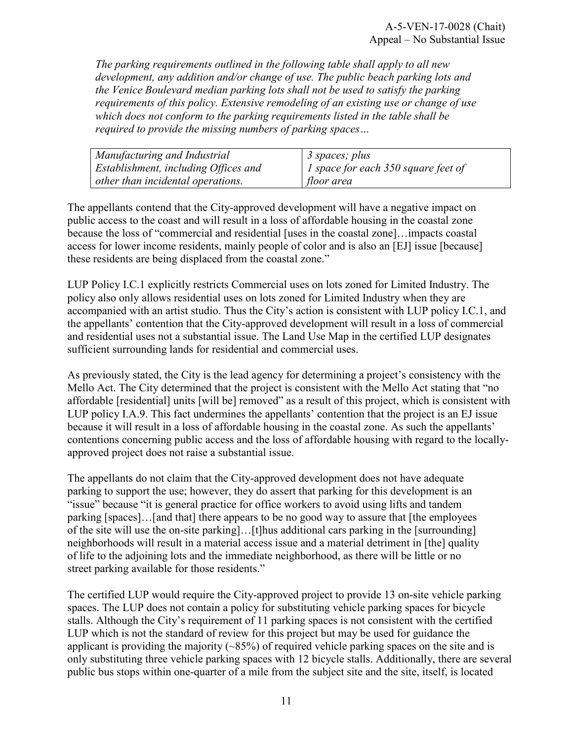*The parking requirements outlined in the following table shall apply to all new development, any addition and/or change of use. The public beach parking lots and the Venice Boulevard median parking lots shall not be used to satisfy the parking requirements of this policy. Extensive remodeling of an existing use or change of use which does not conform to the parking requirements listed in the table shall be required to provide the missing numbers of parking spaces…* 

| Manufacturing and Industrial         | $\beta$ spaces; plus                |
|--------------------------------------|-------------------------------------|
| Establishment, including Offices and | 1 space for each 350 square feet of |
| other than incidental operations.    | floor area                          |

The appellants contend that the City-approved development will have a negative impact on public access to the coast and will result in a loss of affordable housing in the coastal zone because the loss of "commercial and residential [uses in the coastal zone]…impacts coastal access for lower income residents, mainly people of color and is also an [EJ] issue [because] these residents are being displaced from the coastal zone."

LUP Policy I.C.1 explicitly restricts Commercial uses on lots zoned for Limited Industry. The policy also only allows residential uses on lots zoned for Limited Industry when they are accompanied with an artist studio. Thus the City's action is consistent with LUP policy I.C.1, and the appellants' contention that the City-approved development will result in a loss of commercial and residential uses not a substantial issue. The Land Use Map in the certified LUP designates sufficient surrounding lands for residential and commercial uses.

As previously stated, the City is the lead agency for determining a project's consistency with the Mello Act. The City determined that the project is consistent with the Mello Act stating that "no affordable [residential] units [will be] removed" as a result of this project, which is consistent with LUP policy I.A.9. This fact undermines the appellants' contention that the project is an EJ issue because it will result in a loss of affordable housing in the coastal zone. As such the appellants' contentions concerning public access and the loss of affordable housing with regard to the locallyapproved project does not raise a substantial issue.

The appellants do not claim that the City-approved development does not have adequate parking to support the use; however, they do assert that parking for this development is an "issue" because "it is general practice for office workers to avoid using lifts and tandem parking [spaces]…[and that] there appears to be no good way to assure that [the employees of the site will use the on-site parking]…[t]hus additional cars parking in the [surrounding] neighborhoods will result in a material access issue and a material detriment in [the] quality of life to the adjoining lots and the immediate neighborhood, as there will be little or no street parking available for those residents."

The certified LUP would require the City-approved project to provide 13 on-site vehicle parking spaces. The LUP does not contain a policy for substituting vehicle parking spaces for bicycle stalls. Although the City's requirement of 11 parking spaces is not consistent with the certified LUP which is not the standard of review for this project but may be used for guidance the applicant is providing the majority  $(\sim 85\%)$  of required vehicle parking spaces on the site and is only substituting three vehicle parking spaces with 12 bicycle stalls. Additionally, there are several public bus stops within one-quarter of a mile from the subject site and the site, itself, is located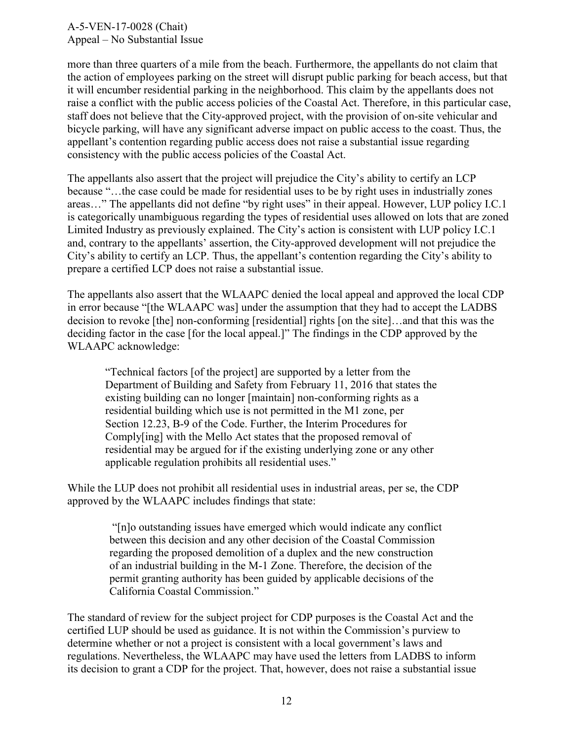more than three quarters of a mile from the beach. Furthermore, the appellants do not claim that the action of employees parking on the street will disrupt public parking for beach access, but that it will encumber residential parking in the neighborhood. This claim by the appellants does not raise a conflict with the public access policies of the Coastal Act. Therefore, in this particular case, staff does not believe that the City-approved project, with the provision of on-site vehicular and bicycle parking, will have any significant adverse impact on public access to the coast. Thus, the appellant's contention regarding public access does not raise a substantial issue regarding consistency with the public access policies of the Coastal Act.

The appellants also assert that the project will prejudice the City's ability to certify an LCP because "…the case could be made for residential uses to be by right uses in industrially zones areas…" The appellants did not define "by right uses" in their appeal. However, LUP policy I.C.1 is categorically unambiguous regarding the types of residential uses allowed on lots that are zoned Limited Industry as previously explained. The City's action is consistent with LUP policy I.C.1 and, contrary to the appellants' assertion, the City-approved development will not prejudice the City's ability to certify an LCP. Thus, the appellant's contention regarding the City's ability to prepare a certified LCP does not raise a substantial issue.

The appellants also assert that the WLAAPC denied the local appeal and approved the local CDP in error because "[the WLAAPC was] under the assumption that they had to accept the LADBS decision to revoke [the] non-conforming [residential] rights [on the site]…and that this was the deciding factor in the case [for the local appeal.]" The findings in the CDP approved by the WLAAPC acknowledge:

"Technical factors [of the project] are supported by a letter from the Department of Building and Safety from February 11, 2016 that states the existing building can no longer [maintain] non-conforming rights as a residential building which use is not permitted in the M1 zone, per Section 12.23, B-9 of the Code. Further, the Interim Procedures for Comply[ing] with the Mello Act states that the proposed removal of residential may be argued for if the existing underlying zone or any other applicable regulation prohibits all residential uses."

While the LUP does not prohibit all residential uses in industrial areas, per se, the CDP approved by the WLAAPC includes findings that state:

> "[n]o outstanding issues have emerged which would indicate any conflict between this decision and any other decision of the Coastal Commission regarding the proposed demolition of a duplex and the new construction of an industrial building in the M-1 Zone. Therefore, the decision of the permit granting authority has been guided by applicable decisions of the California Coastal Commission."

The standard of review for the subject project for CDP purposes is the Coastal Act and the certified LUP should be used as guidance. It is not within the Commission's purview to determine whether or not a project is consistent with a local government's laws and regulations. Nevertheless, the WLAAPC may have used the letters from LADBS to inform its decision to grant a CDP for the project. That, however, does not raise a substantial issue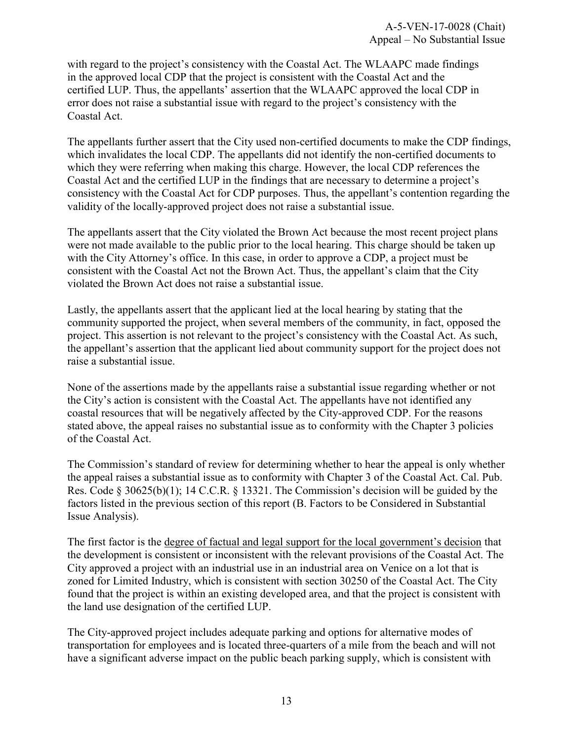with regard to the project's consistency with the Coastal Act. The WLAAPC made findings in the approved local CDP that the project is consistent with the Coastal Act and the certified LUP. Thus, the appellants' assertion that the WLAAPC approved the local CDP in error does not raise a substantial issue with regard to the project's consistency with the Coastal Act.

The appellants further assert that the City used non-certified documents to make the CDP findings, which invalidates the local CDP. The appellants did not identify the non-certified documents to which they were referring when making this charge. However, the local CDP references the Coastal Act and the certified LUP in the findings that are necessary to determine a project's consistency with the Coastal Act for CDP purposes. Thus, the appellant's contention regarding the validity of the locally-approved project does not raise a substantial issue.

The appellants assert that the City violated the Brown Act because the most recent project plans were not made available to the public prior to the local hearing. This charge should be taken up with the City Attorney's office. In this case, in order to approve a CDP, a project must be consistent with the Coastal Act not the Brown Act. Thus, the appellant's claim that the City violated the Brown Act does not raise a substantial issue.

Lastly, the appellants assert that the applicant lied at the local hearing by stating that the community supported the project, when several members of the community, in fact, opposed the project. This assertion is not relevant to the project's consistency with the Coastal Act. As such, the appellant's assertion that the applicant lied about community support for the project does not raise a substantial issue.

None of the assertions made by the appellants raise a substantial issue regarding whether or not the City's action is consistent with the Coastal Act. The appellants have not identified any coastal resources that will be negatively affected by the City-approved CDP. For the reasons stated above, the appeal raises no substantial issue as to conformity with the Chapter 3 policies of the Coastal Act.

The Commission's standard of review for determining whether to hear the appeal is only whether the appeal raises a substantial issue as to conformity with Chapter 3 of the Coastal Act. Cal. Pub. Res. Code § 30625(b)(1); 14 C.C.R. § 13321. The Commission's decision will be guided by the factors listed in the previous section of this report (B. Factors to be Considered in Substantial Issue Analysis).

The first factor is the degree of factual and legal support for the local government's decision that the development is consistent or inconsistent with the relevant provisions of the Coastal Act. The City approved a project with an industrial use in an industrial area on Venice on a lot that is zoned for Limited Industry, which is consistent with section 30250 of the Coastal Act. The City found that the project is within an existing developed area, and that the project is consistent with the land use designation of the certified LUP.

The City-approved project includes adequate parking and options for alternative modes of transportation for employees and is located three-quarters of a mile from the beach and will not have a significant adverse impact on the public beach parking supply, which is consistent with